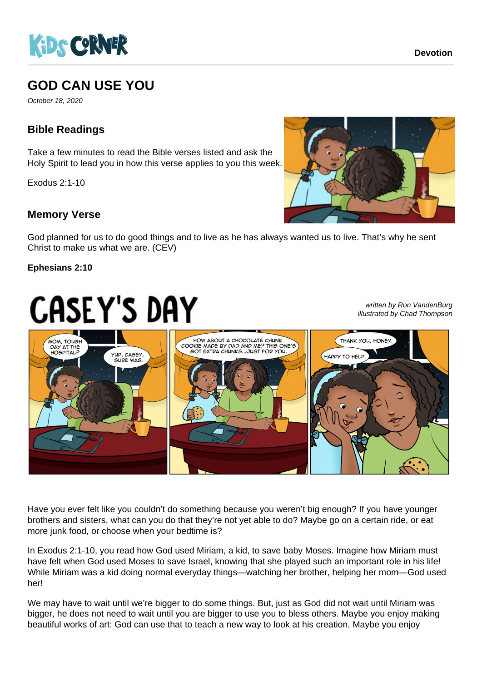

# **GOD CAN USE YOU**

October 18, 2020

## **Bible Readings**

Take a few minutes to read the Bible verses listed and ask the Holy Spirit to lead you in how this verse applies to you this week.

Exodus 2:1-10

### **Memory Verse**



God planned for us to do good things and to live as he has always wanted us to live. That's why he sent Christ to make us what we are. (CEV)

#### **Ephesians 2:10**

# **CASEY'S DAY**

written by Ron VandenBurg illustrated by Chad Thompson



Have you ever felt like you couldn't do something because you weren't big enough? If you have younger brothers and sisters, what can you do that they're not yet able to do? Maybe go on a certain ride, or eat more junk food, or choose when your bedtime is?

In Exodus 2:1-10, you read how God used Miriam, a kid, to save baby Moses. Imagine how Miriam must have felt when God used Moses to save Israel, knowing that she played such an important role in his life! While Miriam was a kid doing normal everyday things—watching her brother, helping her mom—God used her!

We may have to wait until we're bigger to do some things. But, just as God did not wait until Miriam was bigger, he does not need to wait until you are bigger to use you to bless others. Maybe you enjoy making beautiful works of art: God can use that to teach a new way to look at his creation. Maybe you enjoy